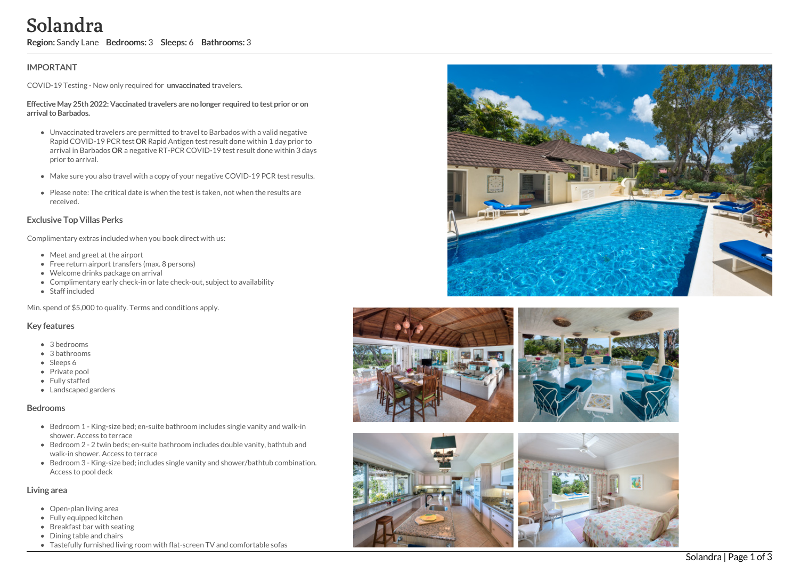## **IMPORTANT**

COVID-19 Testing - Now only required for unvaccinated travelers.

#### Effective May 25th 2022: Vaccinated travelers are no longer required to test prior or on arrival to Barbados.

- Unvaccinated travelers are permitted to travel to Barbados with a valid negative Rapid COVID-19 PCR test OR Rapid Antigen test result done within 1 day prior to arrival in Barbados OR a negative RT-PCR COVID-19 test result done within 3 days prior to arrival. Solandra Comfortable sofasterial sofasterial sofasterial transfer and the properties of the syncetic Meridian CoVID-19 Testing - Now only required for two<br>scribal drawlers are pointed travelents. The stretche Meridian CoVI
	- Make sure you also travel with a copy of your negative COVID-19 PCR test results.
	- Please note: The critical date is when the test is taken, not when the results are received.

## Exclusive Top Villas Perks

Complimentary extras included when you book direct with us:

- Meet and greet at the airport
- Free return airport transfers (max. 8 persons)
- Welcome drinks package on arrival
- Complimentary early check-in or late check-out, subject to availability
- Staff included

Min. spend of \$5,000 to qualify. Terms and conditions apply.

## Key features

- 3 bedrooms
- 3 bathrooms
- Sleeps 6
- Private pool
- Fully staffed
- Landscaped gardens

#### Bedrooms

- Bedroom 1 King-size bed; en-suite bathroom includes single vanity and walk-in shower. Access to terrace
- Bedroom 2 2 twin beds; en-suite bathroom includes double vanity, bathtub and walk-in shower. Access to terrace
- Bedroom 3 King-size bed; includes single vanity and shower/bathtub combination. Access to pool deck

## Living area

- Open-plan living area
- Fully equipped kitchen
- Breakfast bar with seating
- Dining table and chairs
- 







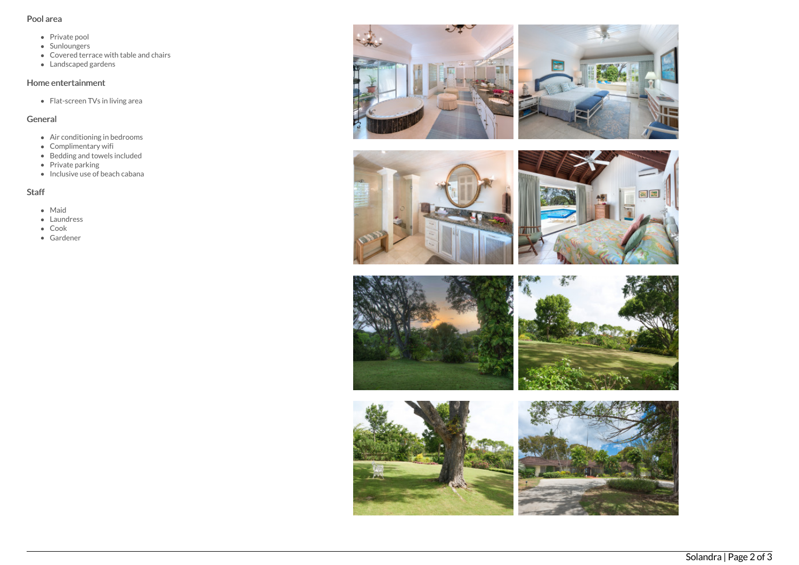## Pool area

- Private pool
- Sunloungers
- Covered terrace with table and chairs
- Landscaped gardens

## Home entertainment

Flat-screen TVs in living area

# General

- Air conditioning in bedrooms
- Complimentary wifi
- Bedding and towels included
- Private parking
- Inclusive use of beach cabana

# Staff

- Maid
- Laundress
- Cook
- Gardener